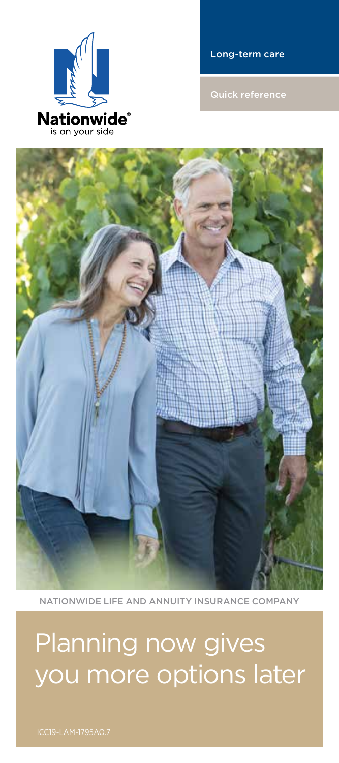# Planning now gives you more options later

NATIONWIDE LIFE AND ANNUITY INSURANCE COMPANY





Long-term care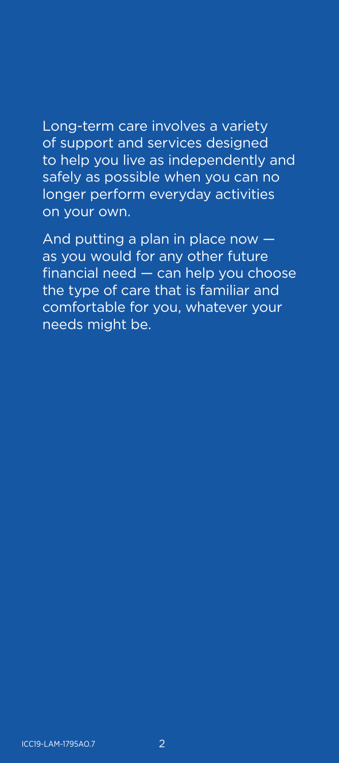Long-term care involves a variety of support and services designed to help you live as independently and safely as possible when you can no longer perform everyday activities on your own.

And putting a plan in place now as you would for any other future financial need — can help you choose the type of care that is familiar and comfortable for you, whatever your needs might be.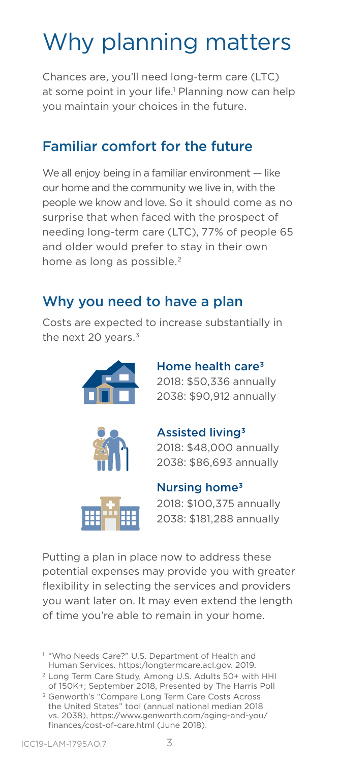# Why planning matters

Chances are, you'll need long-term care (LTC) at some point in your life.<sup>1</sup> Planning now can help you maintain your choices in the future.

## Familiar comfort for the future

We all enjoy being in a familiar environment - like our home and the community we live in, with the people we know and love. So it should come as no surprise that when faced with the prospect of needing long-term care (LTC), 77% of people 65 and older would prefer to stay in their own home as long as possible.<sup>2</sup>

## Why you need to have a plan

Costs are expected to increase substantially in the next 20 years. $3$ 







Home health care $3$ 2018: \$50,336 annually 2038: \$90,912 annually

2018: \$48,000 annually 2038: \$86,693 annually



### Nursing home3

2018: \$100,375 annually 2038: \$181,288 annually

Putting a plan in place now to address these potential expenses may provide you with greater flexibility in selecting the services and providers you want later on. It may even extend the length of time you're able to remain in your home.

<sup>1</sup> "Who Needs Care?" U.S. Department of Health and Human Services. https:/longtermcare.acl.gov. 2019.

<sup>2</sup> Long Term Care Study, Among U.S. Adults 50+ with HHI of 150K+; September 2018, Presented by The Harris Poll

<sup>3</sup> Genworth's "Compare Long Term Care Costs Across the United States" tool (annual national median 2018 vs. 2038), https://www.genworth.com/aging-and-you/ finances/cost-of-care.html (June 2018).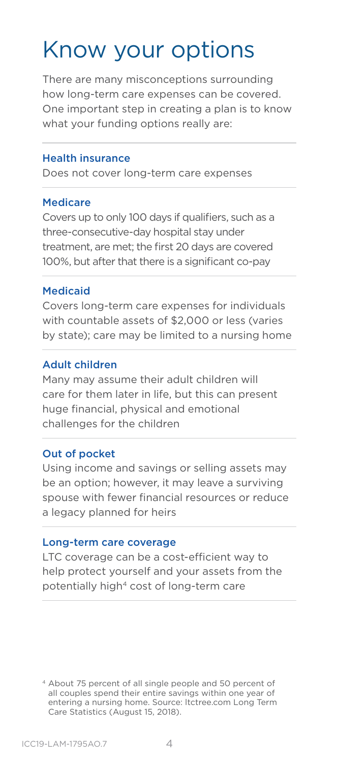## Know your options

There are many misconceptions surrounding how long-term care expenses can be covered. One important step in creating a plan is to know what your funding options really are:

#### Health insurance

Does not cover long-term care expenses

#### Medicare

Covers up to only 100 days if qualifiers, such as a three-consecutive-day hospital stay under treatment, are met; the first 20 days are covered 100%, but after that there is a significant co-pay

#### Medicaid

Covers long-term care expenses for individuals with countable assets of \$2,000 or less (varies by state); care may be limited to a nursing home

#### Adult children

Many may assume their adult children will care for them later in life, but this can present huge financial, physical and emotional challenges for the children

#### Out of pocket

Using income and savings or selling assets may be an option; however, it may leave a surviving spouse with fewer financial resources or reduce a legacy planned for heirs

#### Long-term care coverage

LTC coverage can be a cost-efficient way to help protect yourself and your assets from the potentially high4 cost of long-term care

4 About 75 percent of all single people and 50 percent of all couples spend their entire savings within one year of entering a nursing home. Source: ltctree.com Long Term Care Statistics (August 15, 2018).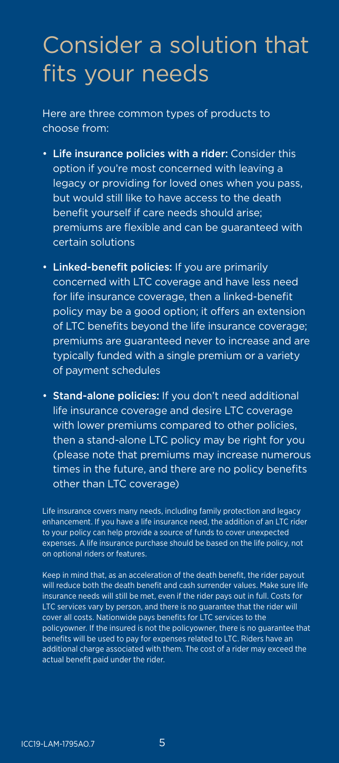## Consider a solution that fits your needs

Here are three common types of products to choose from:

- Life insurance policies with a rider: Consider this option if you're most concerned with leaving a legacy or providing for loved ones when you pass, but would still like to have access to the death benefit yourself if care needs should arise; premiums are flexible and can be guaranteed with certain solutions
- Linked-benefit policies: If you are primarily concerned with LTC coverage and have less need for life insurance coverage, then a linked-benefit policy may be a good option; it offers an extension of LTC benefits beyond the life insurance coverage; premiums are guaranteed never to increase and are typically funded with a single premium or a variety of payment schedules
- Stand-alone policies: If you don't need additional life insurance coverage and desire LTC coverage with lower premiums compared to other policies, then a stand-alone LTC policy may be right for you (please note that premiums may increase numerous times in the future, and there are no policy benefits other than LTC coverage)

Life insurance covers many needs, including family protection and legacy enhancement. If you have a life insurance need, the addition of an LTC rider to your policy can help provide a source of funds to cover unexpected expenses. A life insurance purchase should be based on the life policy, not on optional riders or features.

Keep in mind that, as an acceleration of the death benefit, the rider payout will reduce both the death benefit and cash surrender values. Make sure life insurance needs will still be met, even if the rider pays out in full. Costs for LTC services vary by person, and there is no guarantee that the rider will cover all costs. Nationwide pays benefits for LTC services to the policyowner. If the insured is not the policyowner, there is no guarantee that benefits will be used to pay for expenses related to LTC. Riders have an additional charge associated with them. The cost of a rider may exceed the actual benefit paid under the rider.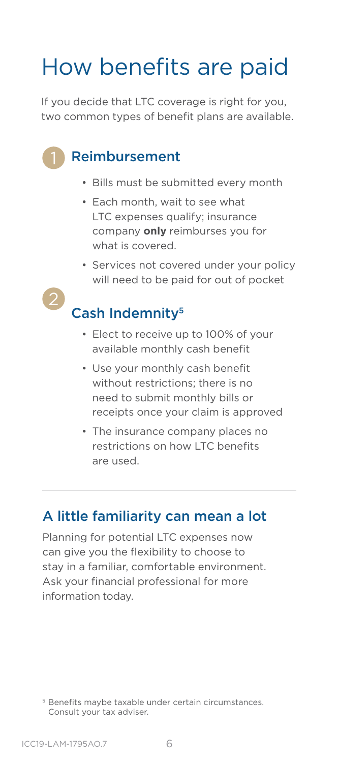# How benefits are paid

If you decide that LTC coverage is right for you, two common types of benefit plans are available.

## Reimbursement

- Bills must be submitted every month
- Each month, wait to see what LTC expenses qualify; insurance company **only** reimburses you for what is covered.
- Services not covered under your policy will need to be paid for out of pocket

## Cash Indemnity<sup>5</sup>

- Elect to receive up to 100% of your available monthly cash benefit
- Use your monthly cash benefit without restrictions; there is no need to submit monthly bills or receipts once your claim is approved
- The insurance company places no restrictions on how LTC benefits are used.

### A little familiarity can mean a lot

Planning for potential LTC expenses now can give you the flexibility to choose to stay in a familiar, comfortable environment. Ask your financial professional for more information today.

<sup>&</sup>lt;sup>5</sup> Benefits maybe taxable under certain circumstances. Consult your tax adviser.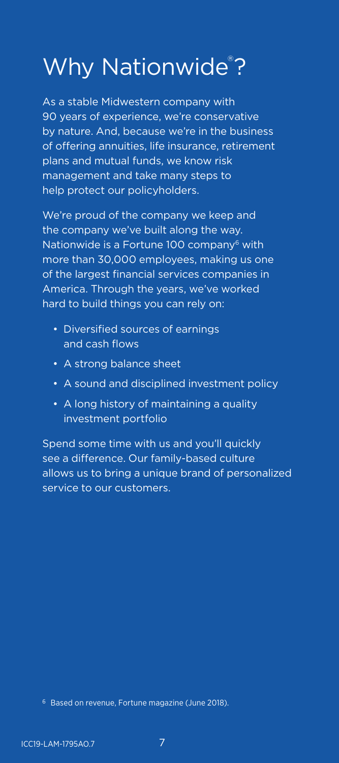# Why Nationwide®?

As a stable Midwestern company with 90 years of experience, we're conservative by nature. And, because we're in the business of offering annuities, life insurance, retirement plans and mutual funds, we know risk management and take many steps to help protect our policyholders.

We're proud of the company we keep and the company we've built along the way. Nationwide is a Fortune 100 company $6$  with more than 30,000 employees, making us one of the largest financial services companies in America. Through the years, we've worked hard to build things you can rely on:

- Diversified sources of earnings and cash flows
- A strong balance sheet
- A sound and disciplined investment policy
- A long history of maintaining a quality investment portfolio

Spend some time with us and you'll quickly see a difference. Our family-based culture allows us to bring a unique brand of personalized service to our customers.

<sup>6</sup> Based on revenue, Fortune magazine (June 2018).